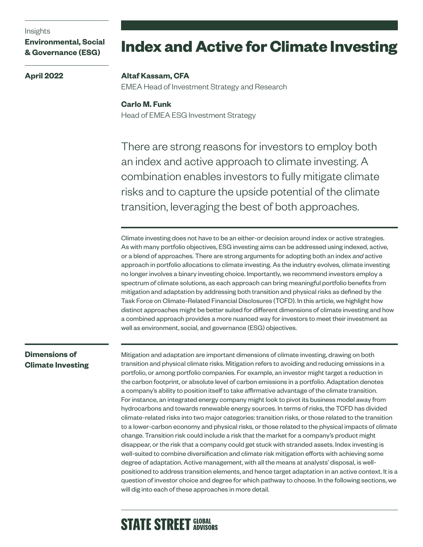#### Insights

**April 2022**

**Environmental, Social & Governance (ESG)**

# **Index and Active for Climate Investing**

#### **Altaf Kassam, CFA**

EMEA Head of Investment Strategy and Research

## **Carlo M. Funk**

Head of EMEA ESG Investment Strategy

There are strong reasons for investors to employ both an index and active approach to climate investing. A combination enables investors to fully mitigate climate risks and to capture the upside potential of the climate transition, leveraging the best of both approaches.

Climate investing does not have to be an either-or decision around index or active strategies. As with many portfolio objectives, ESG investing aims can be addressed using indexed, active, or a blend of approaches. There are strong arguments for adopting both an index *and* active approach in portfolio allocations to climate investing. As the industry evolves, climate investing no longer involves a binary investing choice. Importantly, we recommend investors employ a spectrum of climate solutions, as each approach can bring meaningful portfolio benefits from mitigation and adaptation by addressing both transition and physical risks as defined by the Task Force on Climate-Related Financial Disclosures (TCFD). In this article, we highlight how distinct approaches might be better suited for different dimensions of climate investing and how a combined approach provides a more nuanced way for investors to meet their investment as well as environment, social, and governance (ESG) objectives.

## **Dimensions of Climate Investing**

Mitigation and adaptation are important dimensions of climate investing, drawing on both transition and physical climate risks. Mitigation refers to avoiding and reducing emissions in a portfolio, or among portfolio companies. For example, an investor might target a reduction in the carbon footprint, or absolute level of carbon emissions in a portfolio. Adaptation denotes a company's ability to position itself to take affirmative advantage of the climate transition. For instance, an integrated energy company might look to pivot its business model away from hydrocarbons and towards renewable energy sources. In terms of risks, the TCFD has divided climate-related risks into two major categories: transition risks, or those related to the transition to a lower-carbon economy and physical risks, or those related to the physical impacts of climate change. Transition risk could include a risk that the market for a company's product might disappear, or the risk that a company could get stuck with stranded assets. Index investing is well-suited to combine diversification and climate risk mitigation efforts with achieving some degree of adaptation. Active management, with all the means at analysts' disposal, is wellpositioned to address transition elements, and hence target adaptation in an active context. It is a question of investor choice and degree for which pathway to choose. In the following sections, we will dig into each of these approaches in more detail.

# **STATE STREET GLOBAL**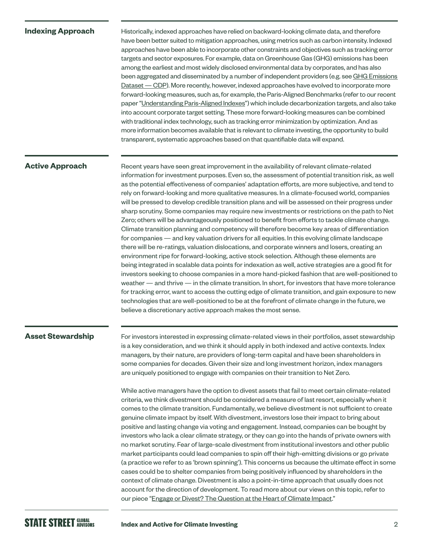#### **Indexing Approach**

Historically, indexed approaches have relied on backward-looking climate data, and therefore have been better suited to mitigation approaches, using metrics such as carbon intensity. Indexed approaches have been able to incorporate other constraints and objectives such as tracking error targets and sector exposures. For example, data on Greenhouse Gas (GHG) emissions has been among the earliest and most widely disclosed environmental data by corporates, and has also been aggregated and disseminated by a number of independent providers (e.g. see GHG Emissions [Dataset — CDP\)](https://www.cdp.net/en/investor/ghg-emissions-dataset). More recently, however, indexed approaches have evolved to incorporate more forward-looking measures, such as, for example, the Paris-Aligned Benchmarks (refer to our recent paper ["Understanding Paris-Aligned Indexes"\)](https://www.ssga.com/us/en/institutional/ic/insights/understanding-paris-aligned-indexes) which include decarbonization targets, and also take into account corporate target setting. These more forward-looking measures can be combined with traditional index technology, such as tracking error minimization by optimization. And as more information becomes available that is relevant to climate investing, the opportunity to build transparent, systematic approaches based on that quantifiable data will expand.

#### **Active Approach**

Recent years have seen great improvement in the availability of relevant climate-related information for investment purposes. Even so, the assessment of potential transition risk, as well as the potential effectiveness of companies' adaptation efforts, are more subjective, and tend to rely on forward-looking and more qualitative measures. In a climate-focused world, companies will be pressed to develop credible transition plans and will be assessed on their progress under sharp scrutiny. Some companies may require new investments or restrictions on the path to Net Zero; others will be advantageously positioned to benefit from efforts to tackle climate change. Climate transition planning and competency will therefore become key areas of differentiation for companies — and key valuation drivers for all equities. In this evolving climate landscape there will be re-ratings, valuation dislocations, and corporate winners and losers, creating an environment ripe for forward-looking, active stock selection. Although these elements are being integrated in scalable data points for indexation as well, active strategies are a good fit for investors seeking to choose companies in a more hand-picked fashion that are well-positioned to weather — and thrive — in the climate transition. In short, for investors that have more tolerance for tracking error, want to access the cutting edge of climate transition, and gain exposure to new technologies that are well-positioned to be at the forefront of climate change in the future, we believe a discretionary active approach makes the most sense.

#### **Asset Stewardship**

For investors interested in expressing climate-related views in their portfolios, asset stewardship is a key consideration, and we think it should apply in both indexed and active contexts. Index managers, by their nature, are providers of long-term capital and have been shareholders in some companies for decades. Given their size and long investment horizon, index managers are uniquely positioned to engage with companies on their transition to Net Zero.

While active managers have the option to divest assets that fail to meet certain climate-related criteria, we think divestment should be considered a measure of last resort, especially when it comes to the climate transition. Fundamentally, we believe divestment is not sufficient to create genuine climate impact by itself. With divestment, investors lose their impact to bring about positive and lasting change via voting and engagement. Instead, companies can be bought by investors who lack a clear climate strategy, or they can go into the hands of private owners with no market scrutiny. Fear of large-scale divestment from institutional investors and other public market participants could lead companies to spin off their high-emitting divisions or go private (a practice we refer to as 'brown spinning'). This concerns us because the ultimate effect in some cases could be to shelter companies from being positively influenced by shareholders in the context of climate change. Divestment is also a point-in-time approach that usually does not account for the direction of development. To read more about our views on this topic, refer to our piece "[Engage or Divest? The Question at the Heart of Climate Impact.](https://www.ssga.com/library-content/pdfs/insights/engage-or-divest.pdf)"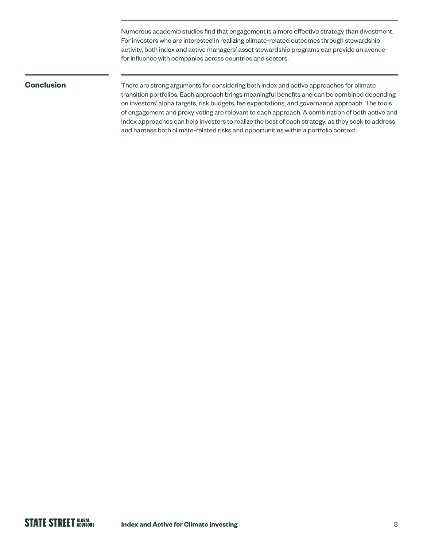Numerous academic studies find that engagement is a more effective strategy than divestment. For investors who are interested in realizing climate-related outcomes through stewardship activity, both index and active managers' asset stewardship programs can provide an avenue for influence with companies across countries and sectors.

### **Conclusion**

There are strong arguments for considering both index and active approaches for climate transition portfolios. Each approach brings meaningful benefits and can be combined depending on investors' alpha targets, risk budgets, fee expectations, and governance approach. The tools of engagement and proxy voting are relevant to each approach. A combination of both active and index approaches can help investors to realize the best of each strategy, as they seek to address and harness both climate-related risks and opportunities within a portfolio context.